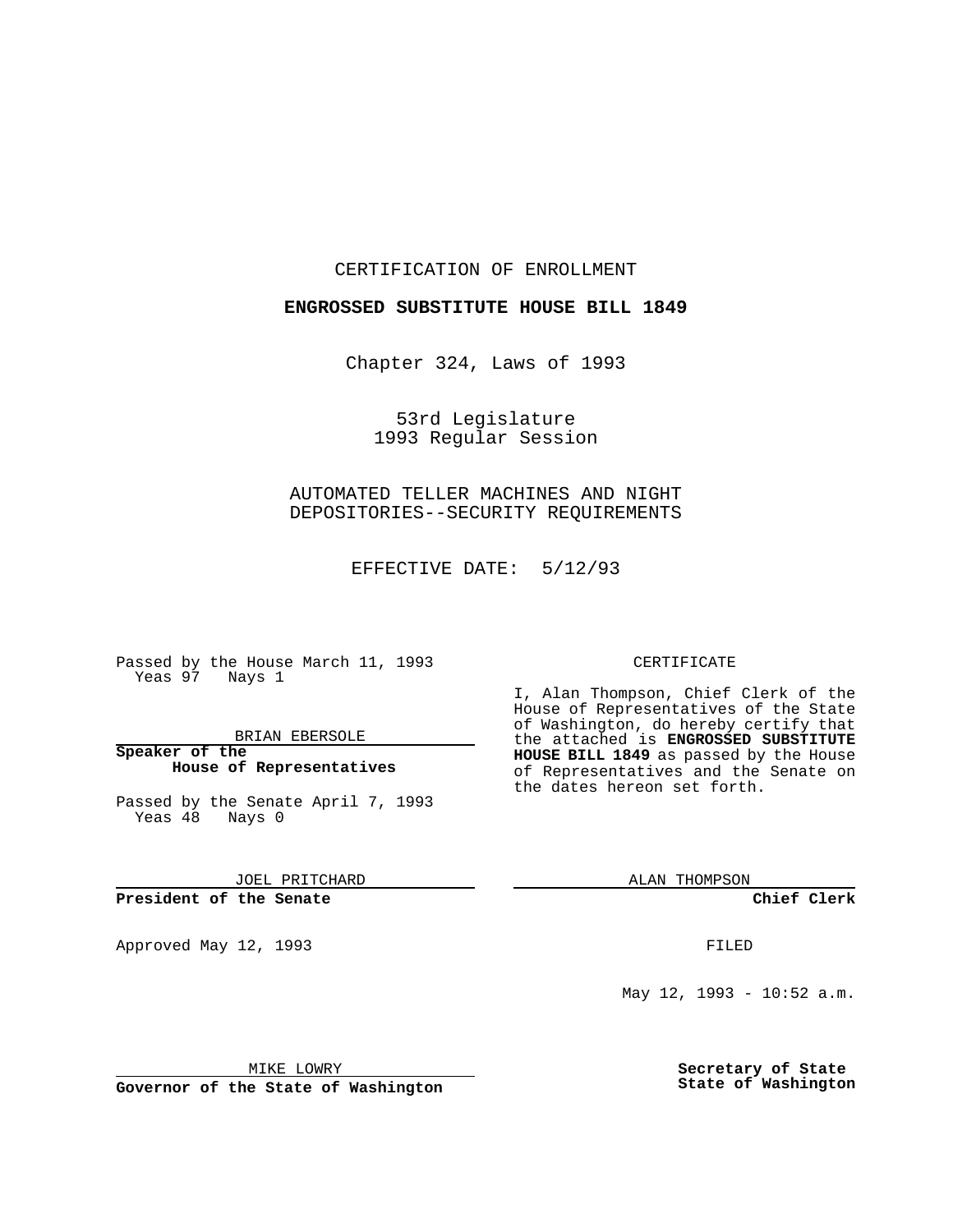CERTIFICATION OF ENROLLMENT

**ENGROSSED SUBSTITUTE HOUSE BILL 1849**

Chapter 324, Laws of 1993

53rd Legislature 1993 Regular Session

AUTOMATED TELLER MACHINES AND NIGHT DEPOSITORIES--SECURITY REQUIREMENTS

EFFECTIVE DATE: 5/12/93

Passed by the House March 11, 1993 Yeas 97 Nays 1

BRIAN EBERSOLE

**Speaker of the House of Representatives**

Passed by the Senate April 7, 1993 Yeas 48 Nays 0

JOEL PRITCHARD

## **President of the Senate**

Approved May 12, 1993 **FILED** 

## CERTIFICATE

I, Alan Thompson, Chief Clerk of the House of Representatives of the State of Washington, do hereby certify that the attached is **ENGROSSED SUBSTITUTE HOUSE BILL 1849** as passed by the House of Representatives and the Senate on the dates hereon set forth.

ALAN THOMPSON

**Chief Clerk**

May 12, 1993 - 10:52 a.m.

MIKE LOWRY

**Governor of the State of Washington**

**Secretary of State State of Washington**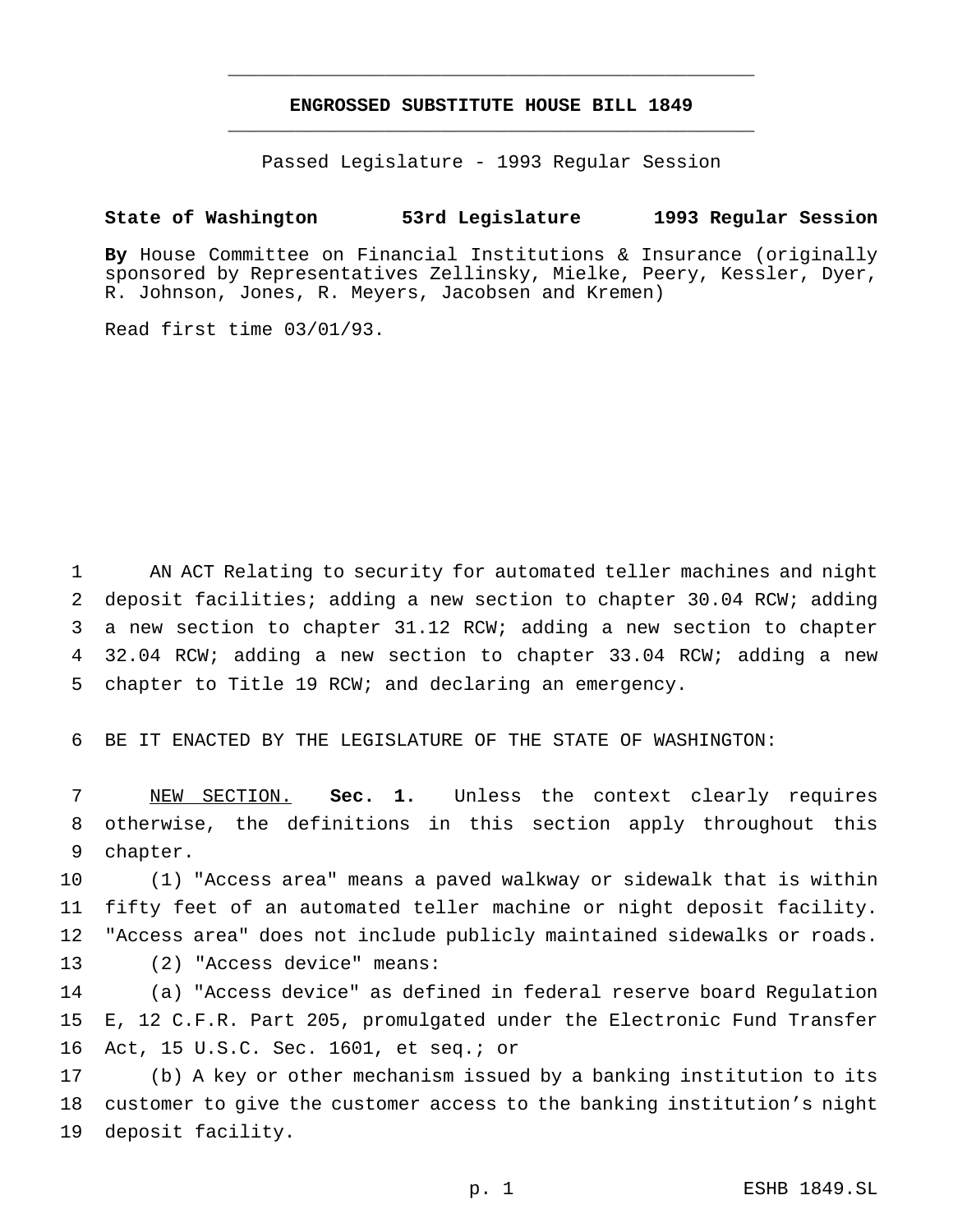## **ENGROSSED SUBSTITUTE HOUSE BILL 1849** \_\_\_\_\_\_\_\_\_\_\_\_\_\_\_\_\_\_\_\_\_\_\_\_\_\_\_\_\_\_\_\_\_\_\_\_\_\_\_\_\_\_\_\_\_\_\_

\_\_\_\_\_\_\_\_\_\_\_\_\_\_\_\_\_\_\_\_\_\_\_\_\_\_\_\_\_\_\_\_\_\_\_\_\_\_\_\_\_\_\_\_\_\_\_

Passed Legislature - 1993 Regular Session

## **State of Washington 53rd Legislature 1993 Regular Session**

**By** House Committee on Financial Institutions & Insurance (originally sponsored by Representatives Zellinsky, Mielke, Peery, Kessler, Dyer, R. Johnson, Jones, R. Meyers, Jacobsen and Kremen)

Read first time 03/01/93.

 AN ACT Relating to security for automated teller machines and night deposit facilities; adding a new section to chapter 30.04 RCW; adding a new section to chapter 31.12 RCW; adding a new section to chapter 32.04 RCW; adding a new section to chapter 33.04 RCW; adding a new chapter to Title 19 RCW; and declaring an emergency.

BE IT ENACTED BY THE LEGISLATURE OF THE STATE OF WASHINGTON:

 NEW SECTION. **Sec. 1.** Unless the context clearly requires otherwise, the definitions in this section apply throughout this chapter.

 (1) "Access area" means a paved walkway or sidewalk that is within fifty feet of an automated teller machine or night deposit facility. "Access area" does not include publicly maintained sidewalks or roads. (2) "Access device" means:

 (a) "Access device" as defined in federal reserve board Regulation E, 12 C.F.R. Part 205, promulgated under the Electronic Fund Transfer Act, 15 U.S.C. Sec. 1601, et seq.; or

 (b) A key or other mechanism issued by a banking institution to its customer to give the customer access to the banking institution's night deposit facility.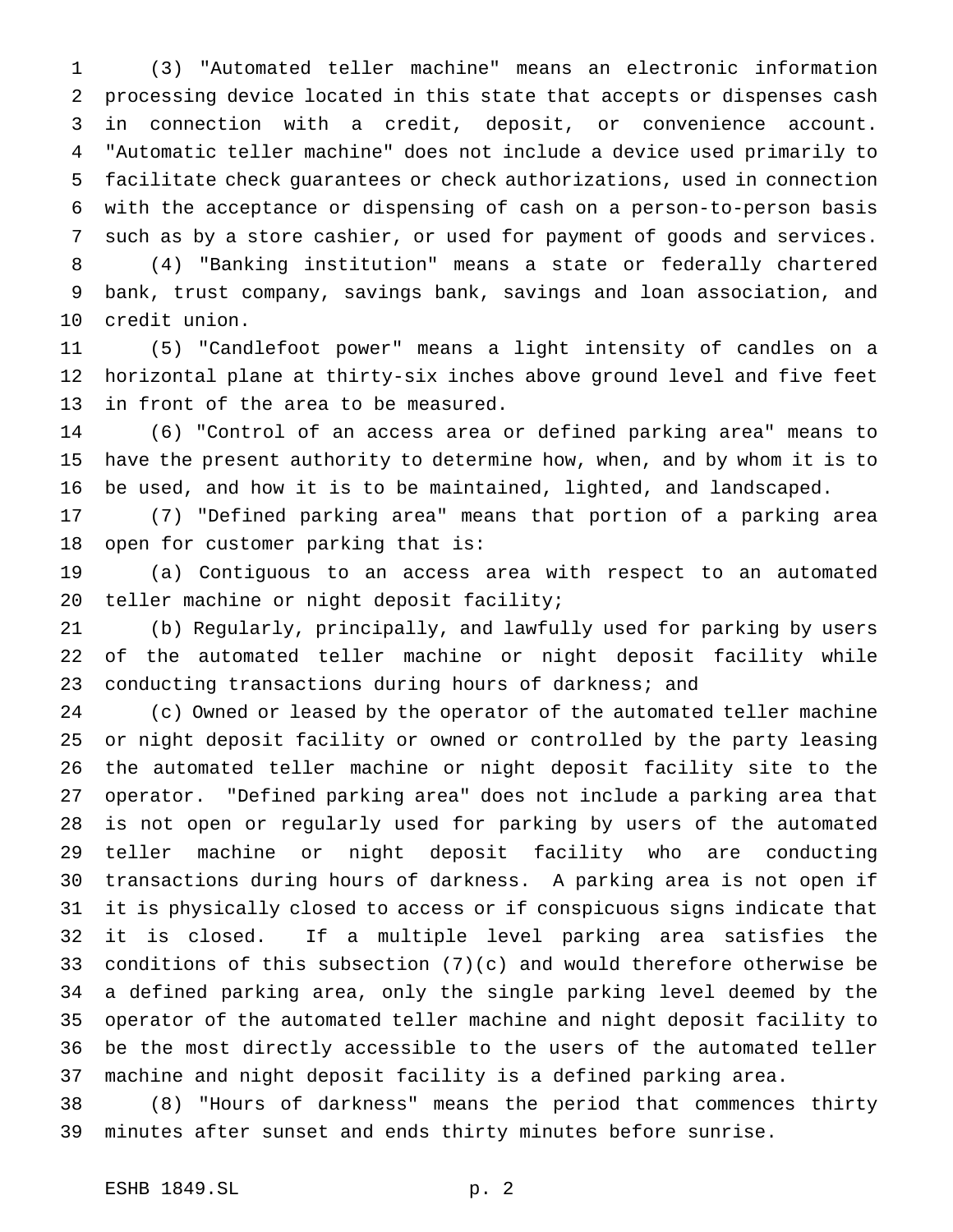(3) "Automated teller machine" means an electronic information processing device located in this state that accepts or dispenses cash in connection with a credit, deposit, or convenience account. "Automatic teller machine" does not include a device used primarily to facilitate check guarantees or check authorizations, used in connection with the acceptance or dispensing of cash on a person-to-person basis such as by a store cashier, or used for payment of goods and services.

 (4) "Banking institution" means a state or federally chartered bank, trust company, savings bank, savings and loan association, and credit union.

 (5) "Candlefoot power" means a light intensity of candles on a horizontal plane at thirty-six inches above ground level and five feet in front of the area to be measured.

 (6) "Control of an access area or defined parking area" means to have the present authority to determine how, when, and by whom it is to be used, and how it is to be maintained, lighted, and landscaped.

 (7) "Defined parking area" means that portion of a parking area open for customer parking that is:

 (a) Contiguous to an access area with respect to an automated teller machine or night deposit facility;

 (b) Regularly, principally, and lawfully used for parking by users of the automated teller machine or night deposit facility while conducting transactions during hours of darkness; and

 (c) Owned or leased by the operator of the automated teller machine or night deposit facility or owned or controlled by the party leasing the automated teller machine or night deposit facility site to the operator. "Defined parking area" does not include a parking area that is not open or regularly used for parking by users of the automated teller machine or night deposit facility who are conducting transactions during hours of darkness. A parking area is not open if it is physically closed to access or if conspicuous signs indicate that it is closed. If a multiple level parking area satisfies the conditions of this subsection (7)(c) and would therefore otherwise be a defined parking area, only the single parking level deemed by the operator of the automated teller machine and night deposit facility to be the most directly accessible to the users of the automated teller machine and night deposit facility is a defined parking area.

 (8) "Hours of darkness" means the period that commences thirty minutes after sunset and ends thirty minutes before sunrise.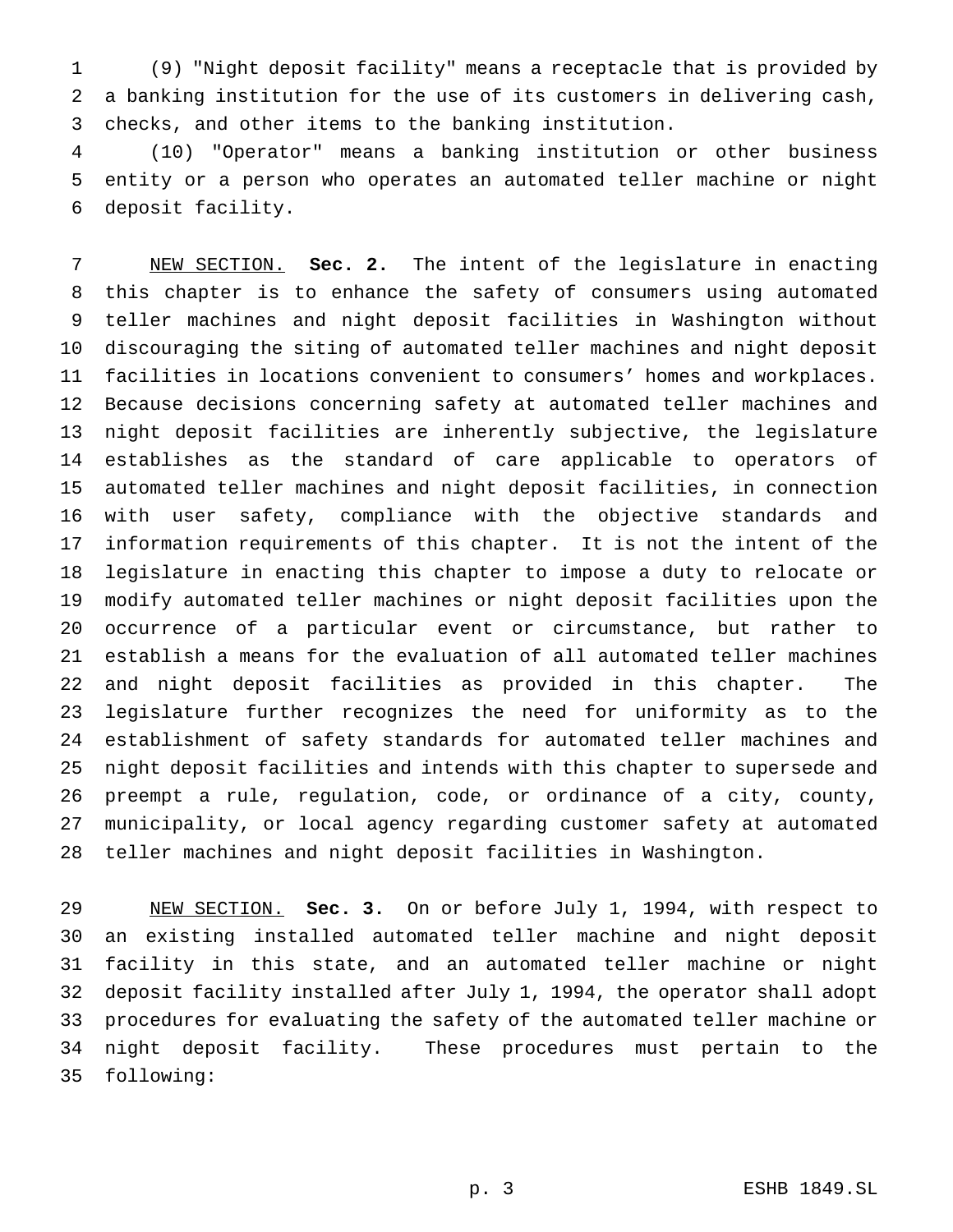(9) "Night deposit facility" means a receptacle that is provided by a banking institution for the use of its customers in delivering cash, checks, and other items to the banking institution.

 (10) "Operator" means a banking institution or other business entity or a person who operates an automated teller machine or night deposit facility.

 NEW SECTION. **Sec. 2.** The intent of the legislature in enacting this chapter is to enhance the safety of consumers using automated teller machines and night deposit facilities in Washington without discouraging the siting of automated teller machines and night deposit facilities in locations convenient to consumers' homes and workplaces. Because decisions concerning safety at automated teller machines and night deposit facilities are inherently subjective, the legislature establishes as the standard of care applicable to operators of automated teller machines and night deposit facilities, in connection with user safety, compliance with the objective standards and information requirements of this chapter. It is not the intent of the legislature in enacting this chapter to impose a duty to relocate or modify automated teller machines or night deposit facilities upon the occurrence of a particular event or circumstance, but rather to establish a means for the evaluation of all automated teller machines and night deposit facilities as provided in this chapter. The legislature further recognizes the need for uniformity as to the establishment of safety standards for automated teller machines and night deposit facilities and intends with this chapter to supersede and preempt a rule, regulation, code, or ordinance of a city, county, municipality, or local agency regarding customer safety at automated teller machines and night deposit facilities in Washington.

 NEW SECTION. **Sec. 3.** On or before July 1, 1994, with respect to an existing installed automated teller machine and night deposit facility in this state, and an automated teller machine or night deposit facility installed after July 1, 1994, the operator shall adopt procedures for evaluating the safety of the automated teller machine or night deposit facility. These procedures must pertain to the following: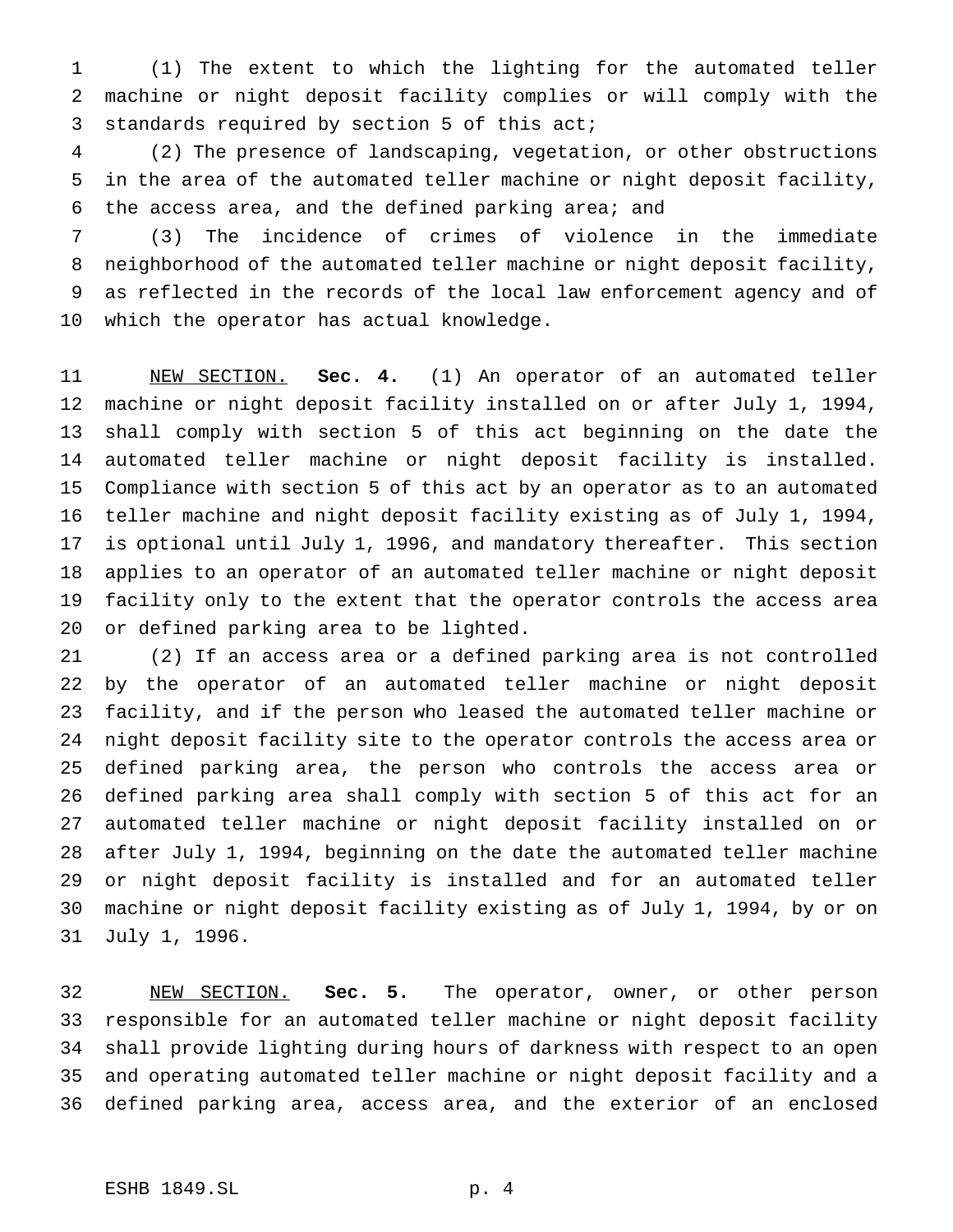(1) The extent to which the lighting for the automated teller machine or night deposit facility complies or will comply with the standards required by section 5 of this act;

 (2) The presence of landscaping, vegetation, or other obstructions in the area of the automated teller machine or night deposit facility, the access area, and the defined parking area; and

 (3) The incidence of crimes of violence in the immediate neighborhood of the automated teller machine or night deposit facility, as reflected in the records of the local law enforcement agency and of which the operator has actual knowledge.

 NEW SECTION. **Sec. 4.** (1) An operator of an automated teller machine or night deposit facility installed on or after July 1, 1994, shall comply with section 5 of this act beginning on the date the automated teller machine or night deposit facility is installed. Compliance with section 5 of this act by an operator as to an automated teller machine and night deposit facility existing as of July 1, 1994, is optional until July 1, 1996, and mandatory thereafter. This section applies to an operator of an automated teller machine or night deposit facility only to the extent that the operator controls the access area or defined parking area to be lighted.

 (2) If an access area or a defined parking area is not controlled by the operator of an automated teller machine or night deposit facility, and if the person who leased the automated teller machine or night deposit facility site to the operator controls the access area or defined parking area, the person who controls the access area or defined parking area shall comply with section 5 of this act for an automated teller machine or night deposit facility installed on or after July 1, 1994, beginning on the date the automated teller machine or night deposit facility is installed and for an automated teller machine or night deposit facility existing as of July 1, 1994, by or on July 1, 1996.

 NEW SECTION. **Sec. 5.** The operator, owner, or other person responsible for an automated teller machine or night deposit facility shall provide lighting during hours of darkness with respect to an open and operating automated teller machine or night deposit facility and a defined parking area, access area, and the exterior of an enclosed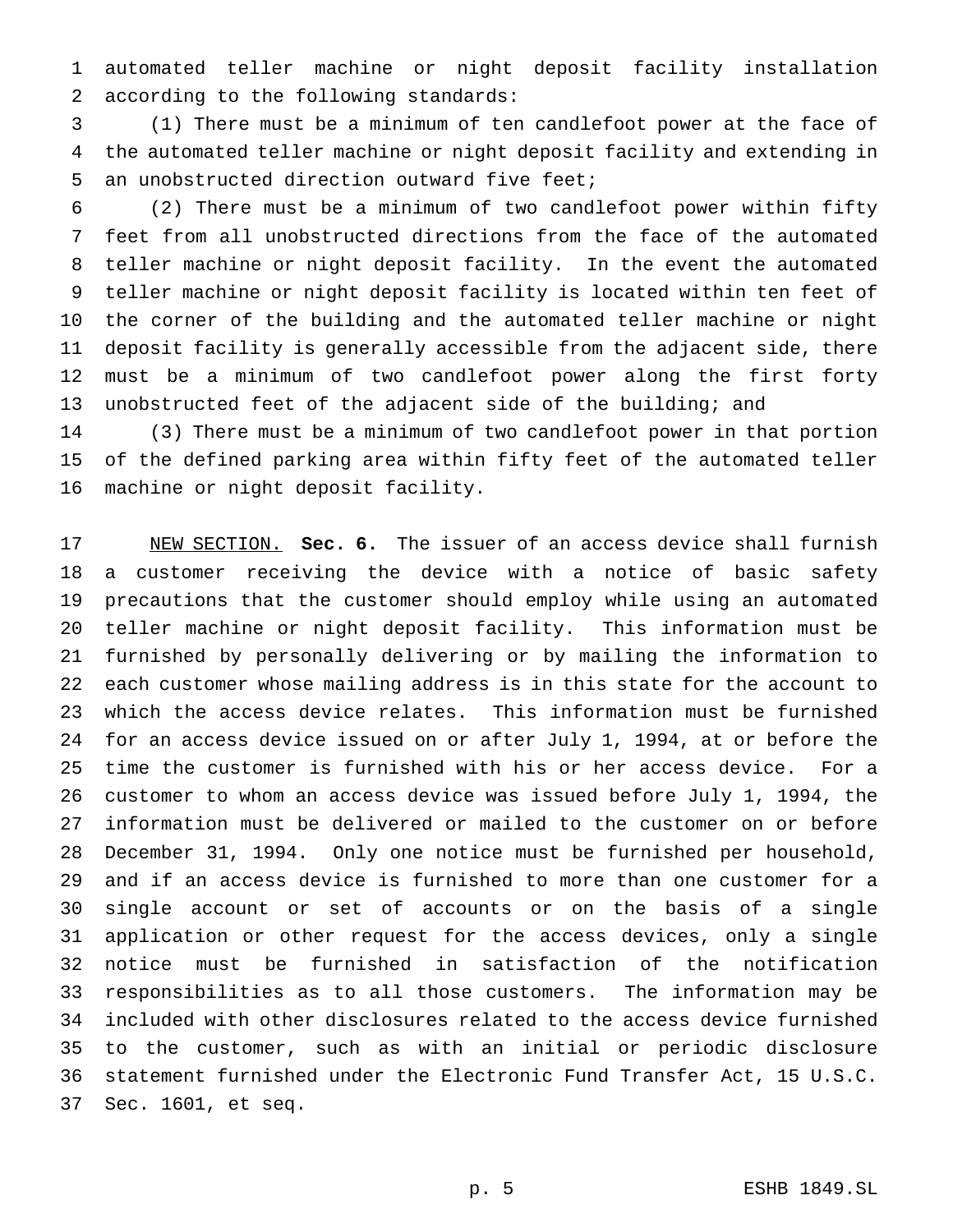automated teller machine or night deposit facility installation according to the following standards:

 (1) There must be a minimum of ten candlefoot power at the face of the automated teller machine or night deposit facility and extending in an unobstructed direction outward five feet;

 (2) There must be a minimum of two candlefoot power within fifty feet from all unobstructed directions from the face of the automated teller machine or night deposit facility. In the event the automated teller machine or night deposit facility is located within ten feet of the corner of the building and the automated teller machine or night deposit facility is generally accessible from the adjacent side, there must be a minimum of two candlefoot power along the first forty unobstructed feet of the adjacent side of the building; and

 (3) There must be a minimum of two candlefoot power in that portion of the defined parking area within fifty feet of the automated teller machine or night deposit facility.

 NEW SECTION. **Sec. 6.** The issuer of an access device shall furnish a customer receiving the device with a notice of basic safety precautions that the customer should employ while using an automated teller machine or night deposit facility. This information must be furnished by personally delivering or by mailing the information to each customer whose mailing address is in this state for the account to which the access device relates. This information must be furnished for an access device issued on or after July 1, 1994, at or before the time the customer is furnished with his or her access device. For a customer to whom an access device was issued before July 1, 1994, the information must be delivered or mailed to the customer on or before December 31, 1994. Only one notice must be furnished per household, and if an access device is furnished to more than one customer for a single account or set of accounts or on the basis of a single application or other request for the access devices, only a single notice must be furnished in satisfaction of the notification responsibilities as to all those customers. The information may be included with other disclosures related to the access device furnished to the customer, such as with an initial or periodic disclosure statement furnished under the Electronic Fund Transfer Act, 15 U.S.C. Sec. 1601, et seq.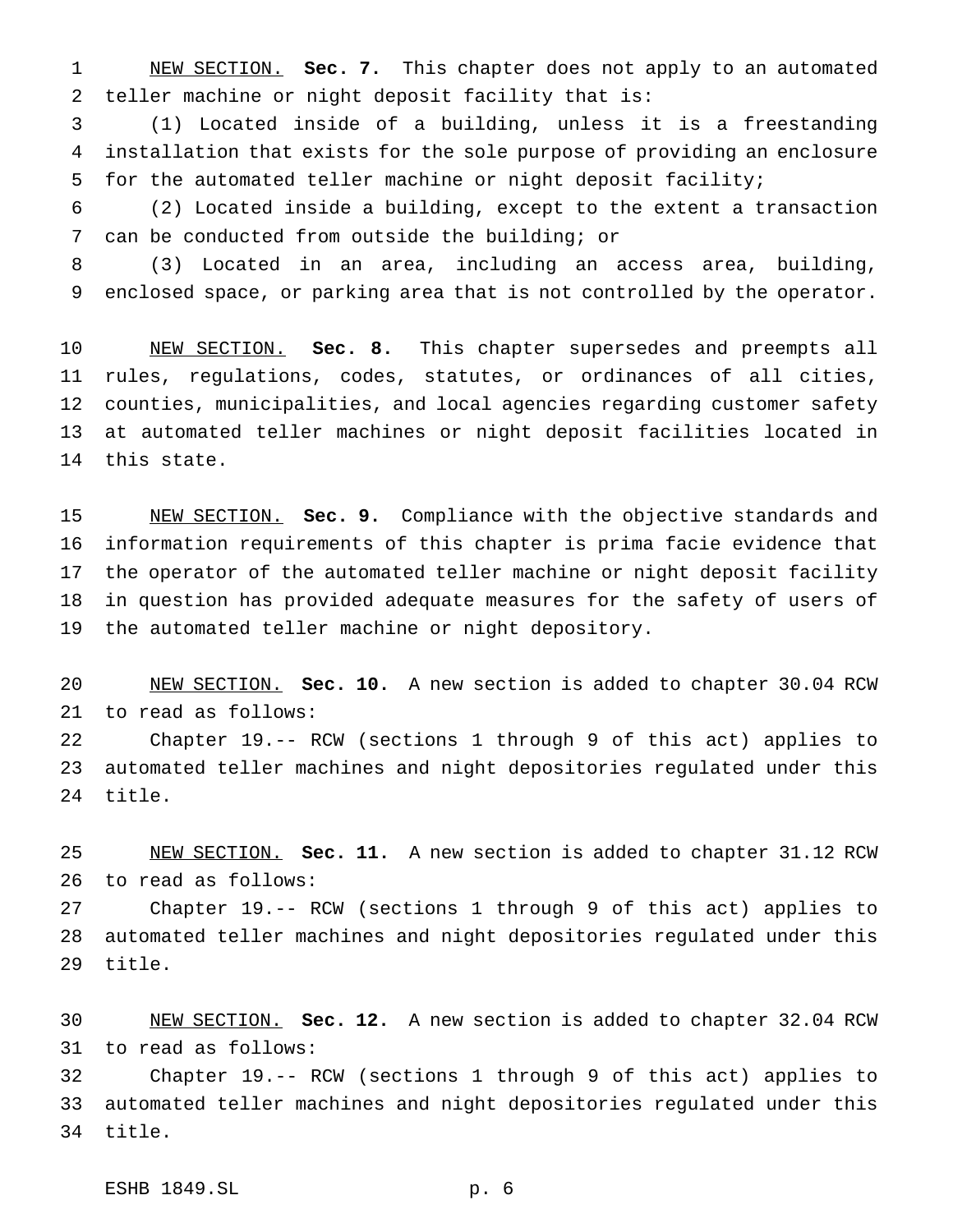NEW SECTION. **Sec. 7.** This chapter does not apply to an automated teller machine or night deposit facility that is:

 (1) Located inside of a building, unless it is a freestanding installation that exists for the sole purpose of providing an enclosure for the automated teller machine or night deposit facility;

 (2) Located inside a building, except to the extent a transaction can be conducted from outside the building; or

 (3) Located in an area, including an access area, building, enclosed space, or parking area that is not controlled by the operator.

 NEW SECTION. **Sec. 8.** This chapter supersedes and preempts all rules, regulations, codes, statutes, or ordinances of all cities, counties, municipalities, and local agencies regarding customer safety at automated teller machines or night deposit facilities located in this state.

 NEW SECTION. **Sec. 9.** Compliance with the objective standards and information requirements of this chapter is prima facie evidence that the operator of the automated teller machine or night deposit facility in question has provided adequate measures for the safety of users of the automated teller machine or night depository.

 NEW SECTION. **Sec. 10.** A new section is added to chapter 30.04 RCW to read as follows:

 Chapter 19.-- RCW (sections 1 through 9 of this act) applies to automated teller machines and night depositories regulated under this title.

 NEW SECTION. **Sec. 11.** A new section is added to chapter 31.12 RCW to read as follows:

 Chapter 19.-- RCW (sections 1 through 9 of this act) applies to automated teller machines and night depositories regulated under this title.

 NEW SECTION. **Sec. 12.** A new section is added to chapter 32.04 RCW to read as follows:

 Chapter 19.-- RCW (sections 1 through 9 of this act) applies to automated teller machines and night depositories regulated under this title.